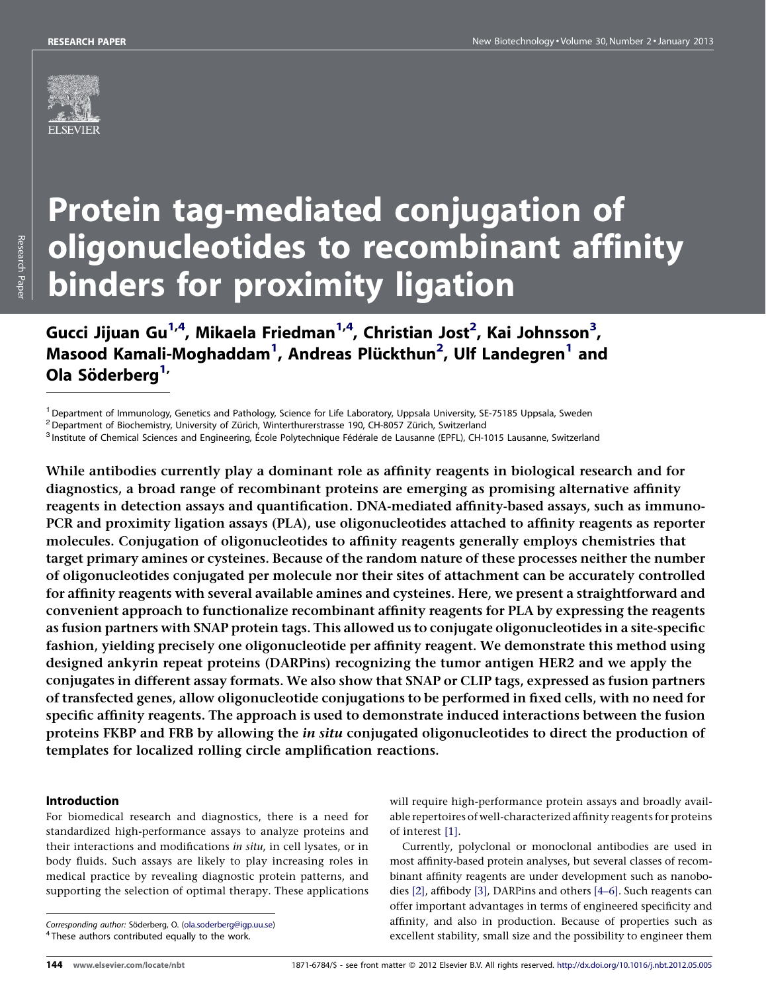

# Protein tag-mediated conjugation of oligonucleotides to recombinant affinity binders for proximity ligation

Gucci Jijuan Gu $^{1,4}$ , Mikaela Friedman $^{1,4}$ , Christian Jost $^2$ , Kai Johnsson $^3$ , Masood Kamali-Moghaddam<sup>1</sup>, Andreas Plückthun<sup>2</sup>, Ulf Landegren<sup>1</sup> and Ola Söderberg<sup>1,</sup>

<sup>1</sup> Department of Immunology, Genetics and Pathology, Science for Life Laboratory, Uppsala University, SE-75185 Uppsala, Sweden<br><sup>2</sup> Department of Biochemistry, University of Zürich, Winterthurerstrasse 190, CH-8057 Zürich,

<sup>3</sup> Institute of Chemical Sciences and Engineering, École Polytechnique Fédérale de Lausanne (EPFL), CH-1015 Lausanne, Switzerland

While antibodies currently play a dominant role as affinity reagents in biological research and for diagnostics, a broad range of recombinant proteins are emerging as promising alternative affinity reagents in detection assays and quantification. DNA-mediated affinity-based assays, such as immuno-PCR and proximity ligation assays (PLA), use oligonucleotides attached to affinity reagents as reporter molecules. Conjugation of oligonucleotides to affinity reagents generally employs chemistries that target primary amines or cysteines. Because of the random nature of these processes neither the number of oligonucleotides conjugated per molecule nor their sites of attachment can be accurately controlled for affinity reagents with several available amines and cysteines. Here, we present a straightforward and convenient approach to functionalize recombinant affinity reagents for PLA by expressing the reagents as fusion partners with SNAP protein tags. This allowed us to conjugate oligonucleotides in a site-specific fashion, yielding precisely one oligonucleotide per affinity reagent. We demonstrate this method using designed ankyrin repeat proteins (DARPins) recognizing the tumor antigen HER2 and we apply the conjugates in different assay formats. We also show that SNAP or CLIP tags, expressed as fusion partners of transfected genes, allow oligonucleotide conjugations to be performed in fixed cells, with no need for specific affinity reagents. The approach is used to demonstrate induced interactions between the fusion proteins FKBP and FRB by allowing the in situ conjugated oligonucleotides to direct the production of templates for localized rolling circle amplification reactions.

# Introduction

For biomedical research and diagnostics, there is a need for standardized high-performance assays to analyze proteins and their interactions and modifications in situ, in cell lysates, or in body fluids. Such assays are likely to play increasing roles in medical practice by revealing diagnostic protein patterns, and supporting the selection of optimal therapy. These applications

will require high-performance protein assays and broadly available repertoires of well-characterized affinity reagents for proteins of interest [\[1\]](#page-7-0).

Currently, polyclonal or monoclonal antibodies are used in most affinity-based protein analyses, but several classes of recombinant affinity reagents are under development such as nanobodies [\[2\],](#page-7-0) affibody [\[3\],](#page-7-0) DARPins and others [\[4–6\].](#page-7-0) Such reagents can offer important advantages in terms of engineered specificity and affinity, and also in production. Because of properties such as excellent stability, small size and the possibility to engineer them

Corresponding author: Söderberg, O. [\(ola.soderberg@igp.uu.se](mailto:ola.soderberg@igp.uu.se))<br><sup>4</sup> These authors contributed equally to the work.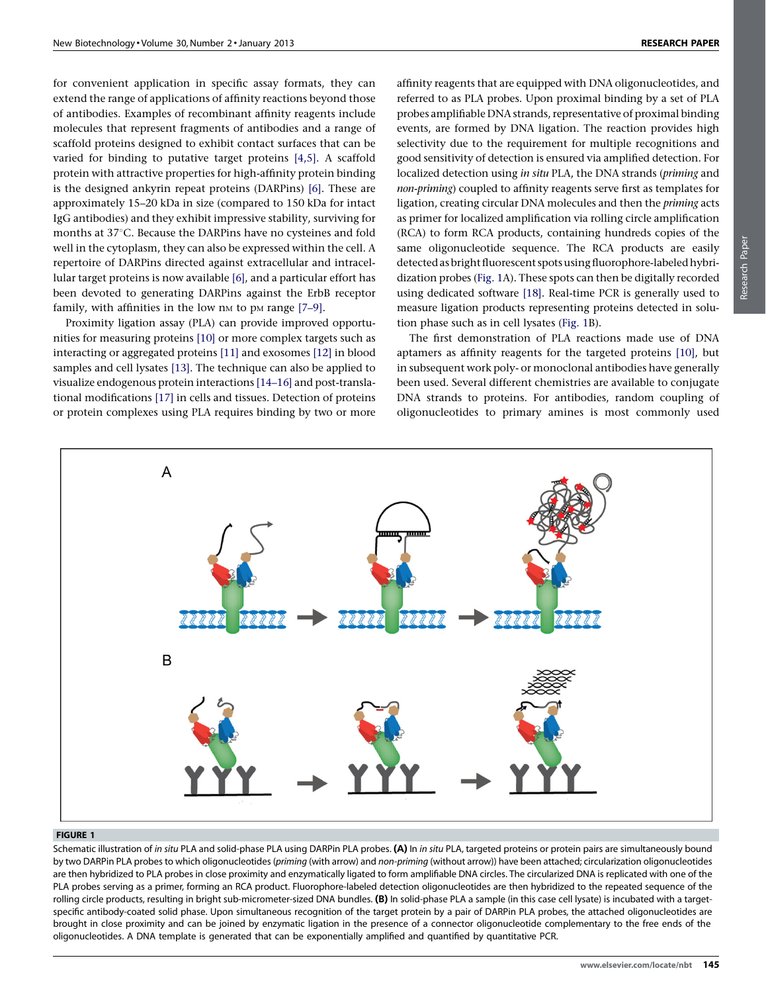<span id="page-1-0"></span>for convenient application in specific assay formats, they can extend the range of applications of affinity reactions beyond those of antibodies. Examples of recombinant affinity reagents include molecules that represent fragments of antibodies and a range of scaffold proteins designed to exhibit contact surfaces that can be varied for binding to putative target proteins [\[4,5\]](#page-7-0). A scaffold protein with attractive properties for high-affinity protein binding is the designed ankyrin repeat proteins (DARPins) [\[6\]](#page-7-0). These are approximately 15–20 kDa in size (compared to 150 kDa for intact IgG antibodies) and they exhibit impressive stability, surviving for months at 37°C. Because the DARPins have no cysteines and fold well in the cytoplasm, they can also be expressed within the cell. A repertoire of DARPins directed against extracellular and intracellular target proteins is now available [\[6\]](#page-7-0), and a particular effort has been devoted to generating DARPins against the ErbB receptor family, with affinities in the low  $nM$  to pM range  $[7-9]$ .

Proximity ligation assay (PLA) can provide improved opportunities for measuring proteins [\[10\]](#page-7-0) or more complex targets such as interacting or aggregated proteins [\[11\]](#page-7-0) and exosomes [\[12\]](#page-7-0) in blood samples and cell lysates [\[13\].](#page-7-0) The technique can also be applied to visualize endogenous protein interactions [\[14–16\]](#page-7-0) and post-translational modifications [\[17\]](#page-7-0) in cells and tissues. Detection of proteins or protein complexes using PLA requires binding by two or more

affinity reagents that are equipped with DNA oligonucleotides, and referred to as PLA probes. Upon proximal binding by a set of PLA probes amplifiable DNA strands, representative of proximal binding events, are formed by DNA ligation. The reaction provides high selectivity due to the requirement for multiple recognitions and good sensitivity of detection is ensured via amplified detection. For localized detection using in situ PLA, the DNA strands (priming and non-priming) coupled to affinity reagents serve first as templates for ligation, creating circular DNA molecules and then the priming acts as primer for localized amplification via rolling circle amplification (RCA) to form RCA products, containing hundreds copies of the same oligonucleotide sequence. The RCA products are easily detected as bright fluorescent spots using fluorophore-labeled hybridization probes (Fig. 1A). These spots can then be digitally recorded using dedicated software [\[18\]](#page-7-0). Real-time PCR is generally used to measure ligation products representing proteins detected in solution phase such as in cell lysates (Fig. 1B).

The first demonstration of PLA reactions made use of DNA aptamers as affinity reagents for the targeted proteins [\[10\],](#page-7-0) but in subsequent work poly- or monoclonal antibodies have generally been used. Several different chemistries are available to conjugate DNA strands to proteins. For antibodies, random coupling of oligonucleotides to primary amines is most commonly used



#### FIGURE 1

Schematic illustration of in situ PLA and solid-phase PLA using DARPin PLA probes. (A) In in situ PLA, targeted proteins or protein pairs are simultaneously bound by two DARPin PLA probes to which oligonucleotides (priming (with arrow) and non-priming (without arrow)) have been attached; circularization oligonucleotides are then hybridized to PLA probes in close proximity and enzymatically ligated to form amplifiable DNA circles. The circularized DNA is replicated with one of the PLA probes serving as a primer, forming an RCA product. Fluorophore-labeled detection oligonucleotides are then hybridized to the repeated sequence of the rolling circle products, resulting in bright sub-micrometer-sized DNA bundles. (B) In solid-phase PLA a sample (in this case cell lysate) is incubated with a targetspecific antibody-coated solid phase. Upon simultaneous recognition of the target protein by a pair of DARPin PLA probes, the attached oligonucleotides are brought in close proximity and can be joined by enzymatic ligation in the presence of a connector oligonucleotide complementary to the free ends of the oligonucleotides. A DNA template is generated that can be exponentially amplified and quantified by quantitative PCR.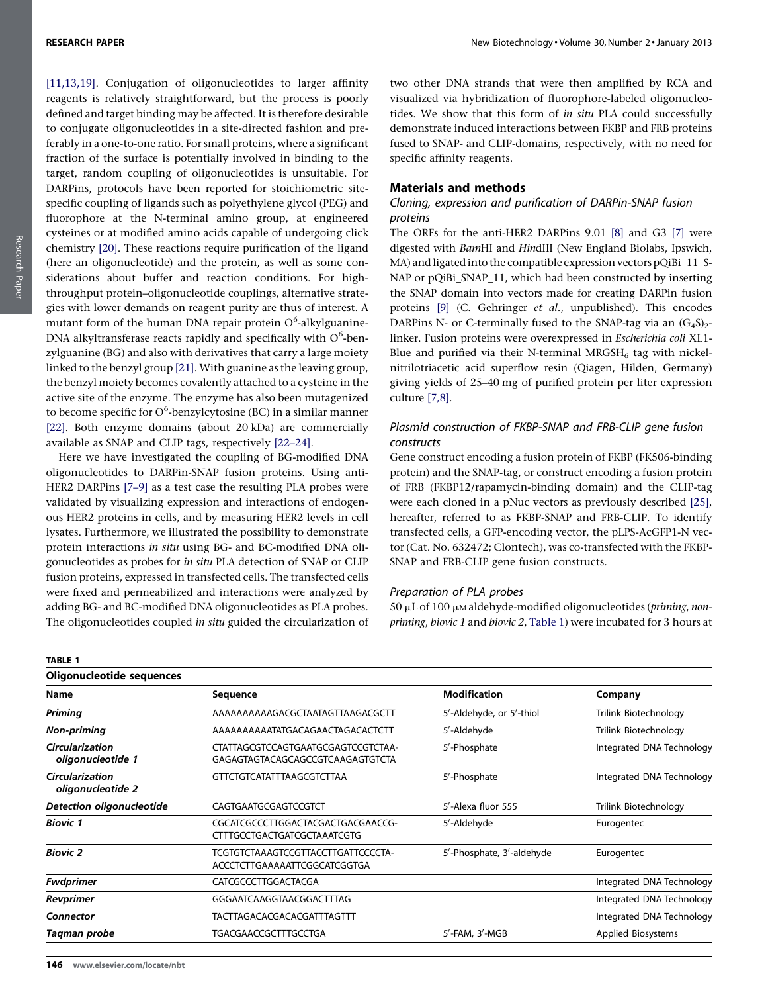<span id="page-2-0"></span>[\[11,13,19\].](#page-7-0) Conjugation of oligonucleotides to larger affinity reagents is relatively straightforward, but the process is poorly defined and target binding may be affected. It is therefore desirable to conjugate oligonucleotides in a site-directed fashion and preferably in a one-to-one ratio. For small proteins, where a significant fraction of the surface is potentially involved in binding to the target, random coupling of oligonucleotides is unsuitable. For DARPins, protocols have been reported for stoichiometric sitespecific coupling of ligands such as polyethylene glycol (PEG) and fluorophore at the N-terminal amino group, at engineered cysteines or at modified amino acids capable of undergoing click chemistry [\[20\]](#page-7-0). These reactions require purification of the ligand (here an oligonucleotide) and the protein, as well as some considerations about buffer and reaction conditions. For highthroughput protein–oligonucleotide couplings, alternative strategies with lower demands on reagent purity are thus of interest. A mutant form of the human DNA repair protein  $O^6$ -alkylguanine-DNA alkyltransferase reacts rapidly and specifically with  $O^6$ -benzylguanine (BG) and also with derivatives that carry a large moiety linked to the benzyl group [\[21\]](#page-7-0). With guanine as the leaving group, the benzyl moiety becomes covalently attached to a cysteine in the active site of the enzyme. The enzyme has also been mutagenized to become specific for O<sup>6</sup>-benzylcytosine (BC) in a similar manner [\[22\]](#page-7-0). Both enzyme domains (about 20 kDa) are commercially available as SNAP and CLIP tags, respectively [\[22–24\]](#page-7-0).

Here we have investigated the coupling of BG-modified DNA oligonucleotides to DARPin-SNAP fusion proteins. Using anti-HER2 DARPins [\[7–9\]](#page-7-0) as a test case the resulting PLA probes were validated by visualizing expression and interactions of endogenous HER2 proteins in cells, and by measuring HER2 levels in cell lysates. Furthermore, we illustrated the possibility to demonstrate protein interactions in situ using BG- and BC-modified DNA oligonucleotides as probes for in situ PLA detection of SNAP or CLIP fusion proteins, expressed in transfected cells. The transfected cells were fixed and permeabilized and interactions were analyzed by adding BG- and BC-modified DNA oligonucleotides as PLA probes. The oligonucleotides coupled in situ guided the circularization of

two other DNA strands that were then amplified by RCA and visualized via hybridization of fluorophore-labeled oligonucleotides. We show that this form of in situ PLA could successfully demonstrate induced interactions between FKBP and FRB proteins fused to SNAP- and CLIP-domains, respectively, with no need for specific affinity reagents.

#### Materials and methods

# Cloning, expression and purification of DARPin-SNAP fusion proteins

The ORFs for the anti-HER2 DARPins 9.01 [\[8\]](#page-7-0) and G3 [\[7\]](#page-7-0) were digested with BamHI and HindIII (New England Biolabs, Ipswich, MA) and ligated into the compatible expression vectors pQiBi\_11\_S-NAP or pOiBi\_SNAP\_11, which had been constructed by inserting the SNAP domain into vectors made for creating DARPin fusion proteins [\[9\]](#page-7-0) (C. Gehringer et al., unpublished). This encodes DARPins N- or C-terminally fused to the SNAP-tag via an  $(G_4S)_{2}$ linker. Fusion proteins were overexpressed in Escherichia coli XL1- Blue and purified via their N-terminal  $MRGSH_6$  tag with nickelnitrilotriacetic acid superflow resin (Qiagen, Hilden, Germany) giving yields of 25–40 mg of purified protein per liter expression culture [\[7,8\]](#page-7-0).

# Plasmid construction of FKBP-SNAP and FRB-CLIP gene fusion constructs

Gene construct encoding a fusion protein of FKBP (FK506-binding protein) and the SNAP-tag, or construct encoding a fusion protein of FRB (FKBP12/rapamycin-binding domain) and the CLIP-tag were each cloned in a pNuc vectors as previously described [\[25\]](#page-8-0), hereafter, referred to as FKBP-SNAP and FRB-CLIP. To identify transfected cells, a GFP-encoding vector, the pLPS-AcGFP1-N vector (Cat. No. 632472; Clontech), was co-transfected with the FKBP-SNAP and FRB-CLIP gene fusion constructs.

## Preparation of PLA probes

50  $\mu$ L of 100  $\mu$ M aldehyde-modified oligonucleotides (priming, nonpriming, biovic 1 and biovic 2, Table 1) were incubated for 3 hours at

| Oligonucleotide sequences                   |                                                                         |                           |                           |  |
|---------------------------------------------|-------------------------------------------------------------------------|---------------------------|---------------------------|--|
| Name                                        | <b>Sequence</b>                                                         | <b>Modification</b>       | Company                   |  |
| <b>Priming</b>                              | AAAAAAAAAAGACGCTAATAGTTAAGACGCTT                                        | 5'-Aldehyde, or 5'-thiol  | Trilink Biotechnology     |  |
| <b>Non-priming</b>                          | AAAAAAAAAATATGACAGAACTAGACACTCTT                                        | 5'-Aldehyde               | Trilink Biotechnology     |  |
| <b>Circularization</b><br>oligonucleotide 1 | CTATTAGCGTCCAGTGAATGCGAGTCCGTCTAA-<br>GAGAGTAGTACAGCAGCCGTCAAGAGTGTCTA  | 5'-Phosphate              | Integrated DNA Technology |  |
| <b>Circularization</b><br>oligonucleotide 2 | <b>GTTCTGTCATATTTAAGCGTCTTAA</b>                                        | 5'-Phosphate              | Integrated DNA Technology |  |
| <b>Detection oligonucleotide</b>            | CAGTGAATGCGAGTCCGTCT                                                    | 5'-Alexa fluor 555        | Trilink Biotechnology     |  |
| <b>Biovic 1</b>                             | CGCATCGCCCTTGGACTACGACTGACGAACCG-<br><b>CTTTGCCTGACTGATCGCTAAATCGTG</b> | 5'-Aldehyde               | Eurogentec                |  |
| <b>Biovic 2</b>                             | TCGTGTCTAAAGTCCGTTACCTTGATTCCCCTA-<br>ACCCTCTTGAAAAATTCGGCATCGGTGA      | 5'-Phosphate, 3'-aldehyde | Eurogentec                |  |
| <b>Fwdprimer</b>                            | CATCGCCCTTGGACTACGA                                                     |                           | Integrated DNA Technology |  |
| Revprimer                                   | GGGAATCAAGGTAACGGACTTTAG                                                |                           | Integrated DNA Technology |  |
| Connector                                   | TACTTAGACACGACACGATTTAGTTT                                              |                           | Integrated DNA Technology |  |
| Taqman probe                                | TGACGAACCGCTTTGCCTGA                                                    | $5'$ -FAM, $3'$ -MGB      | <b>Applied Biosystems</b> |  |

TABLE 1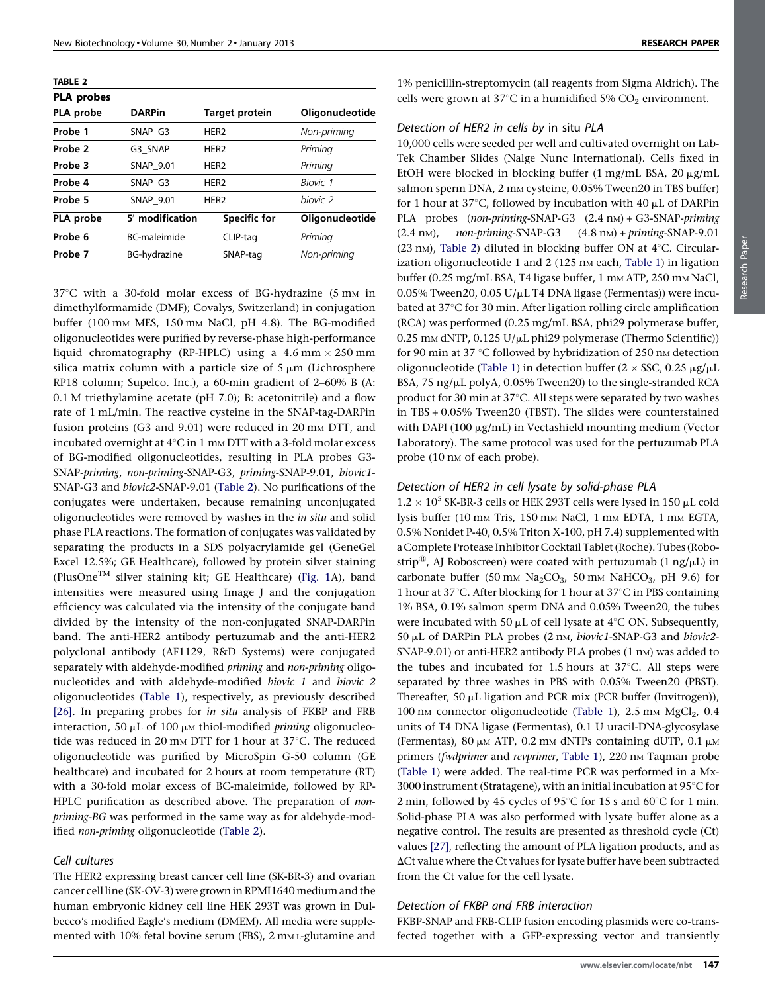TABLE 2

| <b>PLA</b> probes |                     |                       |                     |
|-------------------|---------------------|-----------------------|---------------------|
| PLA probe         | <b>DARPin</b>       | <b>Target protein</b> | Oligonucleotide     |
| Probe 1           | SNAP G3             | HER <sub>2</sub>      | Non-priming         |
| Probe 2           | G3 SNAP             | HER <sub>2</sub>      | Priming             |
| Probe 3           | <b>SNAP 9.01</b>    | HER <sub>2</sub>      | Priming             |
| Probe 4           | SNAP G3             | HER <sub>2</sub>      | Biovic 1            |
| Probe 5           | <b>SNAP 9.01</b>    | HER <sub>2</sub>      | hiovic <sub>2</sub> |
| PLA probe         | 5' modification     | <b>Specific for</b>   | Oligonucleotide     |
| Probe 6           | <b>BC-maleimide</b> | CLIP-tag              | Priming             |
| Probe 7           | BG-hvdrazine        | SNAP-tag              | Non-priming         |

 $37^{\circ}$ C with a 30-fold molar excess of BG-hydrazine (5 mm in dimethylformamide (DMF); Covalys, Switzerland) in conjugation buffer (100 mm MES, 150 mm NaCl, pH 4.8). The BG-modified oligonucleotides were purified by reverse-phase high-performance liquid chromatography (RP-HPLC) using a  $4.6$  mm  $\times$  250 mm silica matrix column with a particle size of  $5 \mu m$  (Lichrosphere RP18 column; Supelco. Inc.), a 60-min gradient of 2–60% B (A: 0.1 M triethylamine acetate (pH 7.0); B: acetonitrile) and a flow rate of 1 mL/min. The reactive cysteine in the SNAP-tag-DARPin fusion proteins  $(G3 \text{ and } 9.01)$  were reduced in 20 mm DTT, and incubated overnight at  $4^{\circ}$ C in 1 mm DTT with a 3-fold molar excess of BG-modified oligonucleotides, resulting in PLA probes G3- SNAP-priming, non-priming-SNAP-G3, priming-SNAP-9.01, biovic1- SNAP-G3 and biovic2-SNAP-9.01 (Table 2). No purifications of the conjugates were undertaken, because remaining unconjugated oligonucleotides were removed by washes in the in situ and solid phase PLA reactions. The formation of conjugates was validated by separating the products in a SDS polyacrylamide gel (GeneGel Excel 12.5%; GE Healthcare), followed by protein silver staining (PlusOne<sup>TM</sup> silver staining kit; GE Healthcare) [\(Fig.](#page-1-0) 1A), band intensities were measured using Image J and the conjugation efficiency was calculated via the intensity of the conjugate band divided by the intensity of the non-conjugated SNAP-DARPin band. The anti-HER2 antibody pertuzumab and the anti-HER2 polyclonal antibody (AF1129, R&D Systems) were conjugated separately with aldehyde-modified priming and non-priming oligonucleotides and with aldehyde-modified biovic 1 and biovic 2 oligonucleotides ([Table](#page-2-0) 1), respectively, as previously described [\[26\].](#page-8-0) In preparing probes for in situ analysis of FKBP and FRB interaction, 50  $\mu$ L of 100  $\mu$ M thiol-modified *priming* oligonucleotide was reduced in 20 mm DTT for 1 hour at  $37^{\circ}$ C. The reduced oligonucleotide was purified by MicroSpin G-50 column (GE healthcare) and incubated for 2 hours at room temperature (RT) with a 30-fold molar excess of BC-maleimide, followed by RP-HPLC purification as described above. The preparation of nonpriming-BG was performed in the same way as for aldehyde-modified non-priming oligonucleotide (Table 2).

# Cell cultures

The HER2 expressing breast cancer cell line (SK-BR-3) and ovarian cancer cell line (SK-OV-3) were grown in RPMI1640 medium and the human embryonic kidney cell line HEK 293T was grown in Dulbecco's modified Eagle's medium (DMEM). All media were supplemented with 10% fetal bovine serum (FBS), 2 mM L-glutamine and 1% penicillin-streptomycin (all reagents from Sigma Aldrich). The cells were grown at 37 $\mathrm{C}$  in a humidified 5%  $\mathrm{CO}_2$  environment.

### Detection of HER2 in cells by in situ PLA

10,000 cells were seeded per well and cultivated overnight on Lab-Tek Chamber Slides (Nalge Nunc International). Cells fixed in EtOH were blocked in blocking buffer  $(1 \text{ mg/mL BSA}, 20 \text{ µg/mL})$ salmon sperm DNA, 2 mm cysteine, 0.05% Tween20 in TBS buffer) for 1 hour at 37°C, followed by incubation with 40  $\mu$ L of DARPin PLA probes (non-priming-SNAP-G3 (2.4 nm) + G3-SNAP-priming  $(2.4 \text{ nm})$ , non-priming-SNAP-G3  $(4.8 \text{ nm}) +$  priming-SNAP-9.01 (23 nm), Table 2) diluted in blocking buffer ON at  $4^{\circ}$ C. Circular-ization oligonucleotide 1 and 2 (125 nm each, [Table](#page-2-0) 1) in ligation buffer (0.25 mg/mL BSA, T4 ligase buffer, 1 mm ATP, 250 mm NaCl, 0.05% Tween20, 0.05 U/ $\mu$ L T4 DNA ligase (Fermentas)) were incubated at 37°C for 30 min. After ligation rolling circle amplification (RCA) was performed (0.25 mg/mL BSA, phi29 polymerase buffer,  $0.25$  mm dNTP,  $0.125$  U/ $\mu$ L phi29 polymerase (Thermo Scientific)) for 90 min at 37 °C followed by hybridization of 250 nm detection oligonucleotide ([Table](#page-2-0) 1) in detection buffer ( $2 \times$  SSC, 0.25  $\mu$ g/ $\mu$ L BSA, 75 ng/ $\mu$ L polyA, 0.05% Tween20) to the single-stranded RCA product for 30 min at  $37^{\circ}$ C. All steps were separated by two washes in TBS + 0.05% Tween20 (TBST). The slides were counterstained with DAPI (100  $\mu$ g/mL) in Vectashield mounting medium (Vector Laboratory). The same protocol was used for the pertuzumab PLA probe (10 nm of each probe).

### Detection of HER2 in cell lysate by solid-phase PLA

 $1.2 \times 10^5$  SK-BR-3 cells or HEK 293T cells were lysed in 150  $\mu$ L cold lysis buffer (10 mm Tris, 150 mm NaCl, 1 mm EDTA, 1 mm EGTA, 0.5% Nonidet P-40, 0.5% Triton X-100, pH 7.4) supplemented with a Complete Protease Inhibitor Cocktail Tablet (Roche). Tubes (Robostrip<sup>®</sup>, AJ Roboscreen) were coated with pertuzumab (1 ng/ $\mu$ L) in carbonate buffer (50 mm  $Na<sub>2</sub>CO<sub>3</sub>$ , 50 mm NaHCO<sub>3</sub>, pH 9.6) for 1 hour at 37 $\degree$ C. After blocking for 1 hour at 37 $\degree$ C in PBS containing 1% BSA, 0.1% salmon sperm DNA and 0.05% Tween20, the tubes were incubated with 50  $\mu$ L of cell lysate at 4°C ON. Subsequently, 50 μL of DARPin PLA probes (2 nm, biovic1-SNAP-G3 and biovic2-SNAP-9.01) or anti-HER2 antibody PLA probes (1 nm) was added to the tubes and incubated for 1.5 hours at  $37^{\circ}$ C. All steps were separated by three washes in PBS with 0.05% Tween20 (PBST). Thereafter, 50 µL ligation and PCR mix (PCR buffer (Invitrogen)), 100 nm connector oligonucleotide ([Table](#page-2-0) 1), 2.5 mm  $MgCl<sub>2</sub>$ , 0.4 units of T4 DNA ligase (Fermentas), 0.1 U uracil-DNA-glycosylase (Fermentas), 80  $\mu$ M ATP, 0.2 mm dNTPs containing dUTP, 0.1  $\mu$ M primers (fwdprimer and revprimer, [Table](#page-2-0) 1), 220 nm Taqman probe [\(Table](#page-2-0) 1) were added. The real-time PCR was performed in a Mx-3000 instrument (Stratagene), with an initial incubation at  $95^{\circ}$ C for 2 min, followed by 45 cycles of 95 $\degree$ C for 15 s and 60 $\degree$ C for 1 min. Solid-phase PLA was also performed with lysate buffer alone as a negative control. The results are presented as threshold cycle (Ct) values [\[27\]](#page-8-0), reflecting the amount of PLA ligation products, and as  $\Delta$ Ct value where the Ct values for lysate buffer have been subtracted from the Ct value for the cell lysate.

#### Detection of FKBP and FRB interaction

FKBP-SNAP and FRB-CLIP fusion encoding plasmids were co-transfected together with a GFP-expressing vector and transiently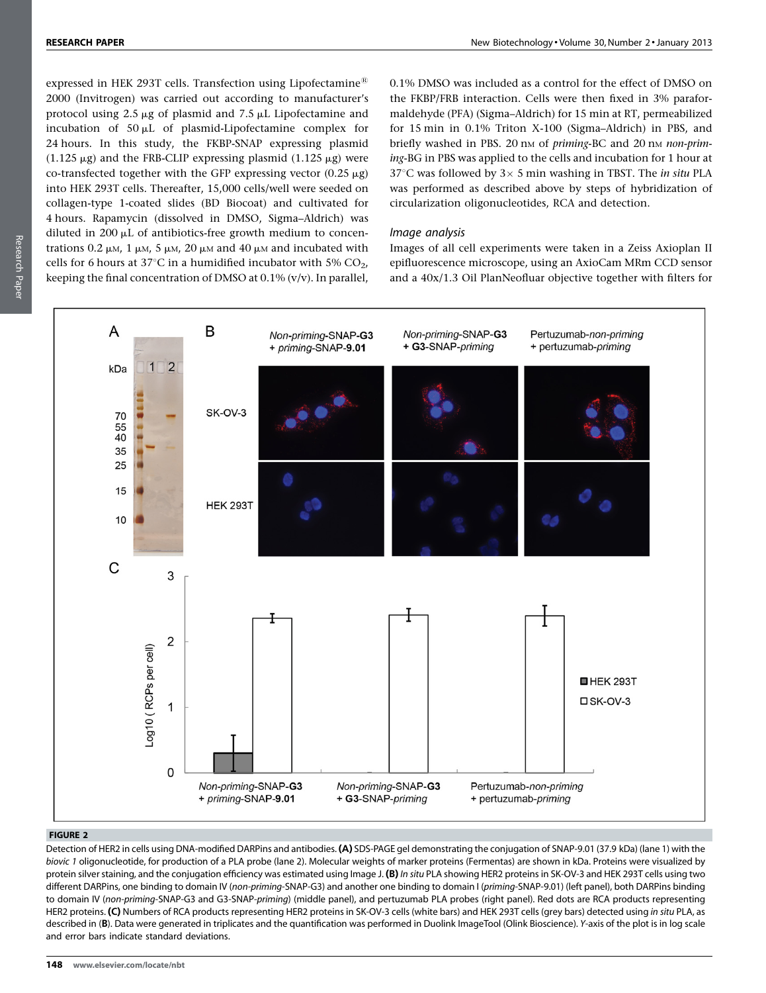<span id="page-4-0"></span>expressed in HEK 293T cells. Transfection using Lipofectamine<sup>®</sup> 2000 (Invitrogen) was carried out according to manufacturer's protocol using  $2.5 \mu$ g of plasmid and  $7.5 \mu$ L Lipofectamine and incubation of  $50 \mu L$  of plasmid-Lipofectamine complex for 24 hours. In this study, the FKBP-SNAP expressing plasmid  $(1.125 \mu g)$  and the FRB-CLIP expressing plasmid  $(1.125 \mu g)$  were co-transfected together with the GFP expressing vector  $(0.25 \mu g)$ into HEK 293T cells. Thereafter, 15,000 cells/well were seeded on collagen-type 1-coated slides (BD Biocoat) and cultivated for 4 hours. Rapamycin (dissolved in DMSO, Sigma–Aldrich) was diluted in 200  $\mu$ L of antibiotics-free growth medium to concentrations 0.2  $\mu$ M, 1  $\mu$ M, 5  $\mu$ M, 20  $\mu$ M and 40  $\mu$ M and incubated with cells for 6 hours at  $37^{\circ}$ C in a humidified incubator with 5% CO<sub>2</sub>, keeping the final concentration of DMSO at  $0.1\%$  (v/v). In parallel,

0.1% DMSO was included as a control for the effect of DMSO on the FKBP/FRB interaction. Cells were then fixed in 3% paraformaldehyde (PFA) (Sigma–Aldrich) for 15 min at RT, permeabilized for 15 min in 0.1% Triton X-100 (Sigma–Aldrich) in PBS, and briefly washed in PBS. 20 nm of priming-BC and 20 nm non-priming-BG in PBS was applied to the cells and incubation for 1 hour at 37°C was followed by  $3 \times 5$  min washing in TBST. The *in situ* PLA was performed as described above by steps of hybridization of circularization oligonucleotides, RCA and detection.

# Image analysis

Images of all cell experiments were taken in a Zeiss Axioplan II epifluorescence microscope, using an AxioCam MRm CCD sensor and a 40x/1.3 Oil PlanNeofluar objective together with filters for



## FIGURE 2

Detection of HER2 in cells using DNA-modified DARPins and antibodies. (A) SDS-PAGE gel demonstrating the conjugation of SNAP-9.01 (37.9 kDa) (lane 1) with the biovic 1 oligonucleotide, for production of a PLA probe (lane 2). Molecular weights of marker proteins (Fermentas) are shown in kDa. Proteins were visualized by protein silver staining, and the conjugation efficiency was estimated using Image J. (B) In situ PLA showing HER2 proteins in SK-OV-3 and HEK 293T cells using two different DARPins, one binding to domain IV (non-priming-SNAP-G3) and another one binding to domain I (priming-SNAP-9.01) (left panel), both DARPins binding to domain IV (non-priming-SNAP-G3 and G3-SNAP-priming) (middle panel), and pertuzumab PLA probes (right panel). Red dots are RCA products representing HER2 proteins. (C) Numbers of RCA products representing HER2 proteins in SK-OV-3 cells (white bars) and HEK 293T cells (grey bars) detected using in situ PLA, as described in (B). Data were generated in triplicates and the quantification was performed in Duolink ImageTool (Olink Bioscience). Y-axis of the plot is in log scale and error bars indicate standard deviations.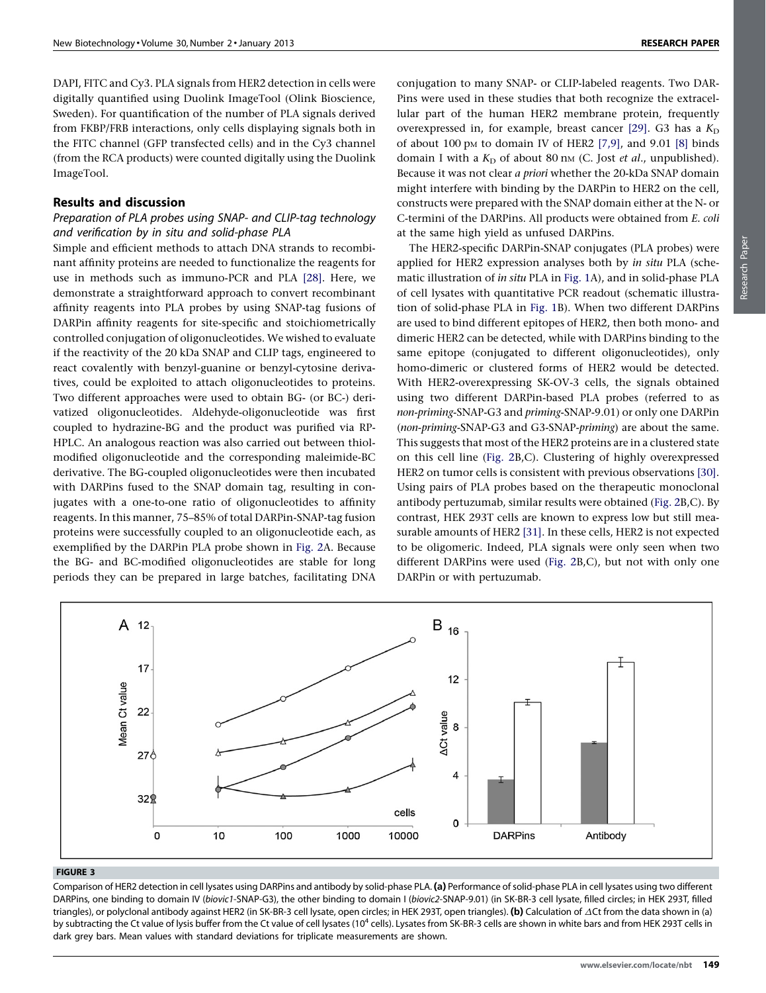<span id="page-5-0"></span>DAPI, FITC and Cy3. PLA signals from HER2 detection in cells were digitally quantified using Duolink ImageTool (Olink Bioscience, Sweden). For quantification of the number of PLA signals derived from FKBP/FRB interactions, only cells displaying signals both in the FITC channel (GFP transfected cells) and in the Cy3 channel (from the RCA products) were counted digitally using the Duolink ImageTool.

# Results and discussion

# Preparation of PLA probes using SNAP- and CLIP-tag technology and verification by in situ and solid-phase PLA

Simple and efficient methods to attach DNA strands to recombinant affinity proteins are needed to functionalize the reagents for use in methods such as immuno-PCR and PLA [\[28\].](#page-8-0) Here, we demonstrate a straightforward approach to convert recombinant affinity reagents into PLA probes by using SNAP-tag fusions of DARPin affinity reagents for site-specific and stoichiometrically controlled conjugation of oligonucleotides. We wished to evaluate if the reactivity of the 20 kDa SNAP and CLIP tags, engineered to react covalently with benzyl-guanine or benzyl-cytosine derivatives, could be exploited to attach oligonucleotides to proteins. Two different approaches were used to obtain BG- (or BC-) derivatized oligonucleotides. Aldehyde-oligonucleotide was first coupled to hydrazine-BG and the product was purified via RP-HPLC. An analogous reaction was also carried out between thiolmodified oligonucleotide and the corresponding maleimide-BC derivative. The BG-coupled oligonucleotides were then incubated with DARPins fused to the SNAP domain tag, resulting in conjugates with a one-to-one ratio of oligonucleotides to affinity reagents. In this manner, 75–85% of total DARPin-SNAP-tag fusion proteins were successfully coupled to an oligonucleotide each, as exemplified by the DARPin PLA probe shown in [Fig.](#page-4-0) 2A. Because the BG- and BC-modified oligonucleotides are stable for long periods they can be prepared in large batches, facilitating DNA

conjugation to many SNAP- or CLIP-labeled reagents. Two DAR-Pins were used in these studies that both recognize the extracellular part of the human HER2 membrane protein, frequently overexpressed in, for example, breast cancer [\[29\].](#page-8-0) G3 has a  $K_D$ of about 100 pm to domain IV of HER2  $[7,9]$ , and 9.01  $[8]$  binds domain I with a  $K_D$  of about 80 nm (C. Jost et al., unpublished). Because it was not clear a priori whether the 20-kDa SNAP domain might interfere with binding by the DARPin to HER2 on the cell, constructs were prepared with the SNAP domain either at the N- or C-termini of the DARPins. All products were obtained from E. coli at the same high yield as unfused DARPins.

The HER2-specific DARPin-SNAP conjugates (PLA probes) were applied for HER2 expression analyses both by in situ PLA (schematic illustration of in situ PLA in [Fig.](#page-1-0) 1A), and in solid-phase PLA of cell lysates with quantitative PCR readout (schematic illustration of solid-phase PLA in [Fig.](#page-1-0) 1B). When two different DARPins are used to bind different epitopes of HER2, then both mono- and dimeric HER2 can be detected, while with DARPins binding to the same epitope (conjugated to different oligonucleotides), only homo-dimeric or clustered forms of HER2 would be detected. With HER2-overexpressing SK-OV-3 cells, the signals obtained using two different DARPin-based PLA probes (referred to as non-priming-SNAP-G3 and priming-SNAP-9.01) or only one DARPin (non-priming-SNAP-G3 and G3-SNAP-priming) are about the same. This suggests that most of the HER2 proteins are in a clustered state on this cell line [\(Fig.](#page-4-0) 2B,C). Clustering of highly overexpressed HER2 on tumor cells is consistent with previous observations [\[30\].](#page-8-0) Using pairs of PLA probes based on the therapeutic monoclonal antibody pertuzumab, similar results were obtained [\(Fig.](#page-4-0) 2B,C). By contrast, HEK 293T cells are known to express low but still measurable amounts of HER2 [\[31\]](#page-8-0). In these cells, HER2 is not expected to be oligomeric. Indeed, PLA signals were only seen when two different DARPins were used ([Fig.](#page-4-0) 2B,C), but not with only one DARPin or with pertuzumab.



#### FIGURE 3

Comparison of HER2 detection in cell lysates using DARPins and antibody by solid-phase PLA. (a) Performance of solid-phase PLA in cell lysates using two different DARPins, one binding to domain IV (biovic1-SNAP-G3), the other binding to domain I (biovic2-SNAP-9.01) (in SK-BR-3 cell lysate, filled circles; in HEK 293T, filled triangles), or polyclonal antibody against HER2 (in SK-BR-3 cell lysate, open circles; in HEK 293T, open triangles). (b) Calculation of  $\Delta$ Ct from the data shown in (a) by subtracting the Ct value of lysis buffer from the Ct value of cell lysates (10<sup>4</sup> cells). Lysates from SK-BR-3 cells are shown in white bars and from HEK 293T cells in dark grey bars. Mean values with standard deviations for triplicate measurements are shown.

Research PaperResearch Paper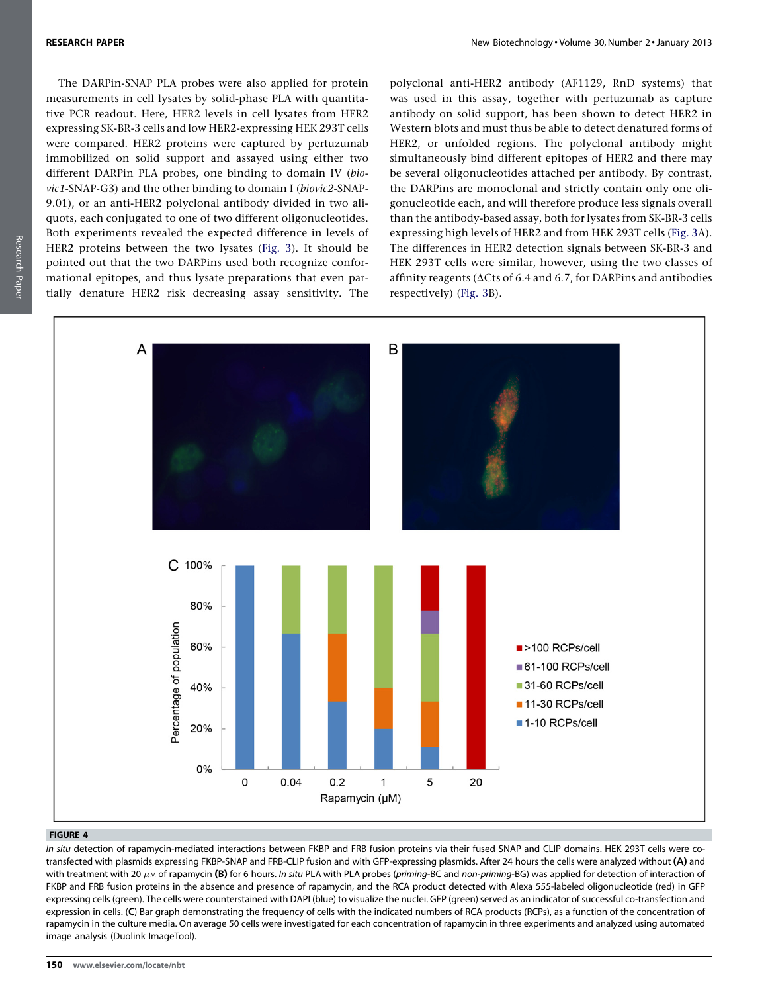<span id="page-6-0"></span>The DARPin-SNAP PLA probes were also applied for protein measurements in cell lysates by solid-phase PLA with quantitative PCR readout. Here, HER2 levels in cell lysates from HER2 expressing SK-BR-3 cells and low HER2-expressing HEK 293T cells were compared. HER2 proteins were captured by pertuzumab immobilized on solid support and assayed using either two different DARPin PLA probes, one binding to domain IV (biovic1-SNAP-G3) and the other binding to domain I (biovic2-SNAP-9.01), or an anti-HER2 polyclonal antibody divided in two aliquots, each conjugated to one of two different oligonucleotides. Both experiments revealed the expected difference in levels of HER2 proteins between the two lysates ([Fig.](#page-5-0) 3). It should be pointed out that the two DARPins used both recognize conformational epitopes, and thus lysate preparations that even partially denature HER2 risk decreasing assay sensitivity. The

polyclonal anti-HER2 antibody (AF1129, RnD systems) that was used in this assay, together with pertuzumab as capture antibody on solid support, has been shown to detect HER2 in Western blots and must thus be able to detect denatured forms of HER2, or unfolded regions. The polyclonal antibody might simultaneously bind different epitopes of HER2 and there may be several oligonucleotides attached per antibody. By contrast, the DARPins are monoclonal and strictly contain only one oligonucleotide each, and will therefore produce less signals overall than the antibody-based assay, both for lysates from SK-BR-3 cells expressing high levels of HER2 and from HEK 293T cells ([Fig.](#page-5-0) 3A). The differences in HER2 detection signals between SK-BR-3 and HEK 293T cells were similar, however, using the two classes of affinity reagents ( $\Delta C$ ts of 6.4 and 6.7, for DARPins and antibodies respectively) ([Fig.](#page-5-0) 3B).



#### FIGURE 4

In situ detection of rapamycin-mediated interactions between FKBP and FRB fusion proteins via their fused SNAP and CLIP domains. HEK 293T cells were cotransfected with plasmids expressing FKBP-SNAP and FRB-CLIP fusion and with GFP-expressing plasmids. After 24 hours the cells were analyzed without (A) and with treatment with 20  $\mu$ m of rapamycin (B) for 6 hours. In situ PLA with PLA probes (priming-BC and non-priming-BG) was applied for detection of interaction of FKBP and FRB fusion proteins in the absence and presence of rapamycin, and the RCA product detected with Alexa 555-labeled oligonucleotide (red) in GFP expressing cells (green). The cells were counterstained with DAPI (blue) to visualize the nuclei. GFP (green) served as an indicator of successful co-transfection and expression in cells. (C) Bar graph demonstrating the frequency of cells with the indicated numbers of RCA products (RCPs), as a function of the concentration of rapamycin in the culture media. On average 50 cells were investigated for each concentration of rapamycin in three experiments and analyzed using automated image analysis (Duolink ImageTool).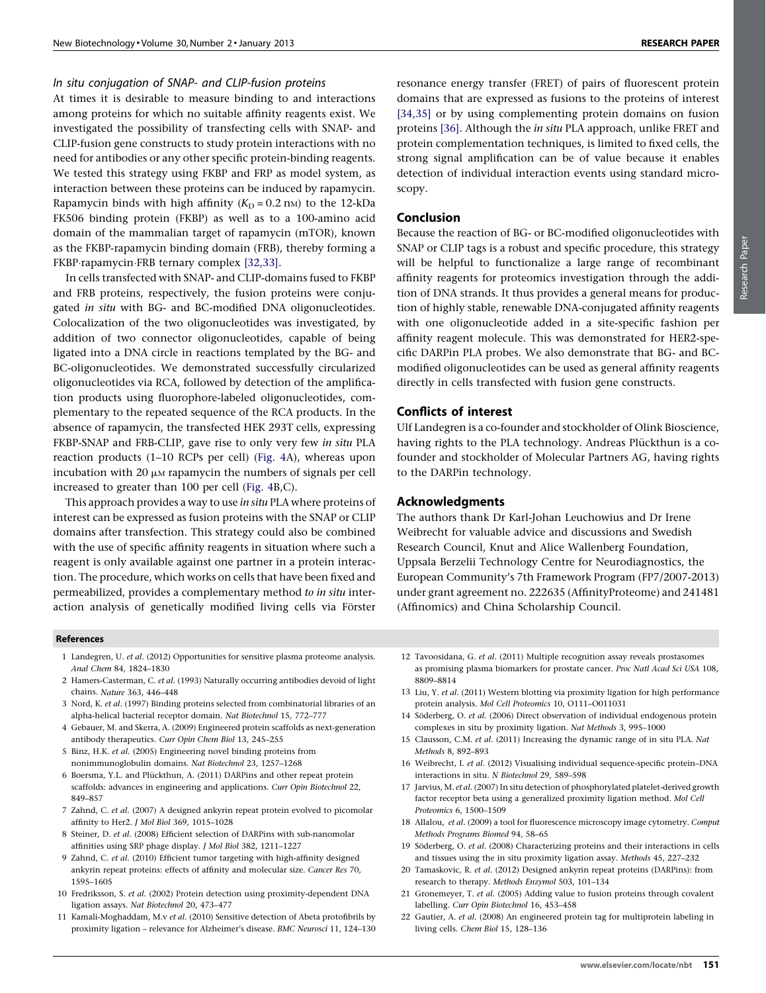# <span id="page-7-0"></span>In situ conjugation of SNAP- and CLIP-fusion proteins

At times it is desirable to measure binding to and interactions among proteins for which no suitable affinity reagents exist. We investigated the possibility of transfecting cells with SNAP- and CLIP-fusion gene constructs to study protein interactions with no need for antibodies or any other specific protein-binding reagents. We tested this strategy using FKBP and FRP as model system, as interaction between these proteins can be induced by rapamycin. Rapamycin binds with high affinity  $(K_D = 0.2 \text{ nm})$  to the 12-kDa FK506 binding protein (FKBP) as well as to a 100-amino acid domain of the mammalian target of rapamycin (mTOR), known as the FKBP-rapamycin binding domain (FRB), thereby forming a FKBP·rapamycin·FRB ternary complex [\[32,33\].](#page-8-0)

In cells transfected with SNAP- and CLIP-domains fused to FKBP and FRB proteins, respectively, the fusion proteins were conjugated in situ with BG- and BC-modified DNA oligonucleotides. Colocalization of the two oligonucleotides was investigated, by addition of two connector oligonucleotides, capable of being ligated into a DNA circle in reactions templated by the BG- and BC-oligonucleotides. We demonstrated successfully circularized oligonucleotides via RCA, followed by detection of the amplification products using fluorophore-labeled oligonucleotides, complementary to the repeated sequence of the RCA products. In the absence of rapamycin, the transfected HEK 293T cells, expressing FKBP-SNAP and FRB-CLIP, gave rise to only very few in situ PLA reaction products (1–10 RCPs per cell) [\(Fig.](#page-6-0) 4A), whereas upon incubation with 20  $\mu$ M rapamycin the numbers of signals per cell increased to greater than 100 per cell [\(Fig.](#page-6-0) 4B,C).

This approach provides a way to use in situ PLA where proteins of interest can be expressed as fusion proteins with the SNAP or CLIP domains after transfection. This strategy could also be combined with the use of specific affinity reagents in situation where such a reagent is only available against one partner in a protein interaction. The procedure, which works on cells that have been fixed and permeabilized, provides a complementary method to in situ interaction analysis of genetically modified living cells via Förster resonance energy transfer (FRET) of pairs of fluorescent protein domains that are expressed as fusions to the proteins of interest [\[34,35\]](#page-8-0) or by using complementing protein domains on fusion proteins [\[36\]](#page-8-0). Although the in situ PLA approach, unlike FRET and protein complementation techniques, is limited to fixed cells, the strong signal amplification can be of value because it enables detection of individual interaction events using standard microscopy.

# Conclusion

Because the reaction of BG- or BC-modified oligonucleotides with SNAP or CLIP tags is a robust and specific procedure, this strategy will be helpful to functionalize a large range of recombinant affinity reagents for proteomics investigation through the addition of DNA strands. It thus provides a general means for production of highly stable, renewable DNA-conjugated affinity reagents with one oligonucleotide added in a site-specific fashion per affinity reagent molecule. This was demonstrated for HER2-specific DARPin PLA probes. We also demonstrate that BG- and BCmodified oligonucleotides can be used as general affinity reagents directly in cells transfected with fusion gene constructs.

## Conflicts of interest

Ulf Landegren is a co-founder and stockholder of Olink Bioscience, having rights to the PLA technology. Andreas Plückthun is a cofounder and stockholder of Molecular Partners AG, having rights to the DARPin technology.

## Acknowledgments

The authors thank Dr Karl-Johan Leuchowius and Dr Irene Weibrecht for valuable advice and discussions and Swedish Research Council, Knut and Alice Wallenberg Foundation, Uppsala Berzelii Technology Centre for Neurodiagnostics, the European Community's 7th Framework Program (FP7/2007-2013) under grant agreement no. 222635 (AffinityProteome) and 241481 (Affinomics) and China Scholarship Council.

#### References

- 1 Landegren, U. et al. (2012) Opportunities for sensitive plasma proteome analysis. Anal Chem 84, 1824–1830
- 2 Hamers-Casterman, C. et al. (1993) Naturally occurring antibodies devoid of light chains. Nature 363, 446–448
- 3 Nord, K. et al. (1997) Binding proteins selected from combinatorial libraries of an alpha-helical bacterial receptor domain. Nat Biotechnol 15, 772–777
- 4 Gebauer, M. and Skerra, A. (2009) Engineered protein scaffolds as next-generation antibody therapeutics. Curr Opin Chem Biol 13, 245–255
- 5 Binz, H.K. et al. (2005) Engineering novel binding proteins from nonimmunoglobulin domains. Nat Biotechnol 23, 1257–1268
- 6 Boersma, Y.L. and Plückthun, A. (2011) DARPins and other repeat protein scaffolds: advances in engineering and applications. Curr Opin Biotechnol 22, 849–857
- 7 Zahnd, C. et al. (2007) A designed ankyrin repeat protein evolved to picomolar affinity to Her2. J Mol Biol 369, 1015–1028
- 8 Steiner, D. et al. (2008) Efficient selection of DARPins with sub-nanomolar affinities using SRP phage display. J Mol Biol 382, 1211–1227
- 9 Zahnd, C. et al. (2010) Efficient tumor targeting with high-affinity designed ankyrin repeat proteins: effects of affinity and molecular size. Cancer Res 70, 1595–1605
- 10 Fredriksson, S. et al. (2002) Protein detection using proximity-dependent DNA ligation assays. Nat Biotechnol 20, 473–477
- 11 Kamali-Moghaddam, M.v et al. (2010) Sensitive detection of Abeta protofibrils by proximity ligation – relevance for Alzheimer's disease. BMC Neurosci 11, 124–130
- 12 Tavoosidana, G. et al. (2011) Multiple recognition assay reveals prostasomes as promising plasma biomarkers for prostate cancer. Proc Natl Acad Sci USA 108, 8809–8814
- 13 Liu, Y. et al. (2011) Western blotting via proximity ligation for high performance protein analysis. Mol Cell Proteomics 10, O111–O011031
- 14 Söderberg, O. et al. (2006) Direct observation of individual endogenous protein complexes in situ by proximity ligation. Nat Methods 3, 995–1000
- 15 Clausson, C.M. et al. (2011) Increasing the dynamic range of in situ PLA. Nat Methods 8, 892–893
- 16 Weibrecht, I. et al. (2012) Visualising individual sequence-specific protein–DNA interactions in situ. N Biotechnol 29, 589–598
- 17 Jarvius, M. et al. (2007) In situ detection of phosphorylated platelet-derived growth factor receptor beta using a generalized proximity ligation method. Mol Cell Proteomics 6, 1500–1509
- 18 Allalou, et al. (2009) a tool for fluorescence microscopy image cytometry. Comput Methods Programs Biomed 94, 58–65
- 19 Söderberg, O. et al. (2008) Characterizing proteins and their interactions in cells and tissues using the in situ proximity ligation assay. Methods 45, 227–232
- 20 Tamaskovic, R. et al. (2012) Designed ankyrin repeat proteins (DARPins): from research to therapy. Methods Enzymol 503, 101–134
- 21 Gronemeyer, T. et al. (2005) Adding value to fusion proteins through covalent labelling. Curr Opin Biotechnol 16, 453–458
- 22 Gautier, A. et al. (2008) An engineered protein tag for multiprotein labeling in living cells. Chem Biol 15, 128–136